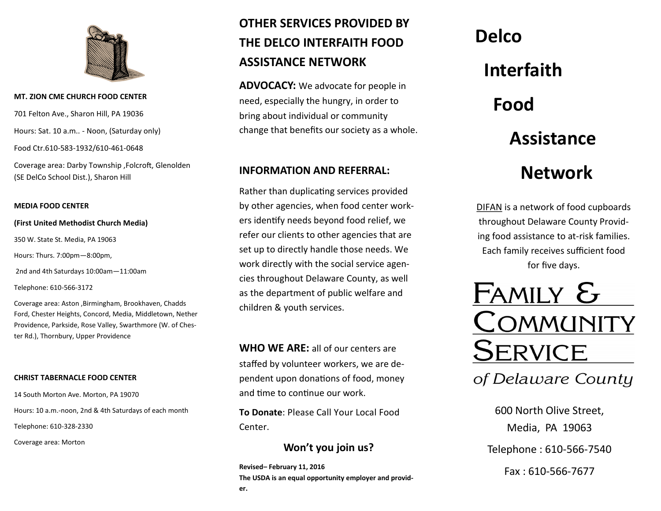

#### **MT. ZION CME CHURCH FOOD CENTER**

701 Felton Ave., Sharon Hill, PA 19036 Hours: Sat. 10 a.m.. - Noon, (Saturday only) Food Ctr.610-583-1932/610-461-0648

Coverage area: Darby Township ,Folcroft, Glenolden (SE DelCo School Dist.), Sharon Hill

#### **MEDIA FOOD CENTER**

#### **(First United Methodist Church Media)**

350 W. State St. Media, PA 19063

Hours: Thurs. 7:00pm—8:00pm,

2nd and 4th Saturdays 10:00am—11:00am

Telephone: 610-566-3172

Coverage area: Aston ,Birmingham, Brookhaven, Chadds Ford, Chester Heights, Concord, Media, Middletown, Nether Providence, Parkside, Rose Valley, Swarthmore (W. of Chester Rd.), Thornbury, Upper Providence

#### **CHRIST TABERNACLE FOOD CENTER**

14 South Morton Ave. Morton, PA 19070 Hours: 10 a.m.-noon, 2nd & 4th Saturdays of each month Telephone: 610-328-2330

Coverage area: Morton

# **OTHER SERVICES PROVIDED BY THE DELCO INTERFAITH FOOD ASSISTANCE NETWORK**

**ADVOCACY:** We advocate for people in need, especially the hungry, in order to bring about individual or community change that benefits our society as a whole.

## **INFORMATION AND REFERRAL:**

Rather than duplicating services provided by other agencies, when food center workers identify needs beyond food relief, we refer our clients to other agencies that are set up to directly handle those needs. We work directly with the social service agencies throughout Delaware County, as well as the department of public welfare and children & youth services.

**WHO WE ARE:** all of our centers are staffed by volunteer workers, we are dependent upon donations of food, money and time to continue our work.

**To Donate**: Please Call Your Local Food Center.

## **Won't you join us?**

**Revised– February 11, 2016 The USDA is an equal opportunity employer and provider.**

# **Delco Interfaith Food Assistance Network**

DIFAN is a network of food cupboards throughout Delaware County Providing food assistance to at-risk families. Each family receives sufficient food for five days.

Family  $\varepsilon$ OMMUNITY SERVICE

of Delaware County

600 North Olive Street, Media, PA 19063 Telephone : 610-566-7540 Fax : 610-566-7677